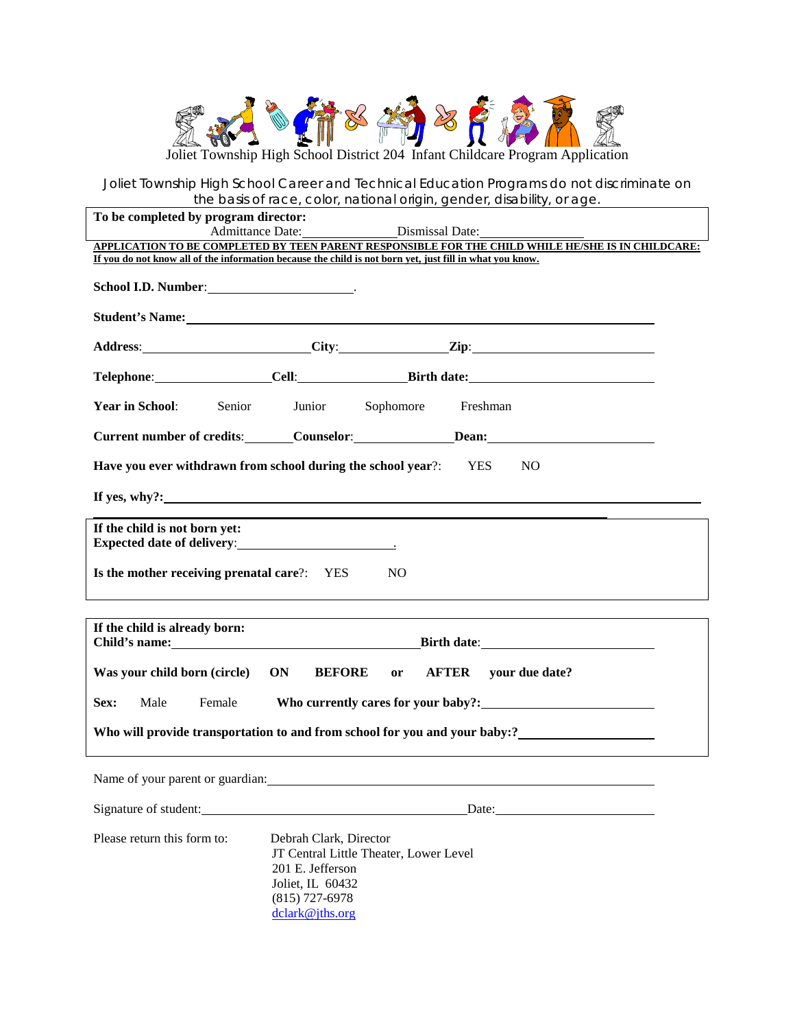

*Joliet Township High School Career and Technical Education Programs do not discriminate on the basis of race, color, national origin, gender, disability, or age.*

| To be completed by program director:<br>Dismissal Date:<br><b>Admittance Date:</b>                                                                                                                             |                                                                                    |                                        |                                                                                  |  |  |  |  |
|----------------------------------------------------------------------------------------------------------------------------------------------------------------------------------------------------------------|------------------------------------------------------------------------------------|----------------------------------------|----------------------------------------------------------------------------------|--|--|--|--|
| APPLICATION TO BE COMPLETED BY TEEN PARENT RESPONSIBLE FOR THE CHILD WHILE HE/SHE IS IN CHILDCARE:<br>If you do not know all of the information because the child is not born yet, just fill in what you know. |                                                                                    |                                        |                                                                                  |  |  |  |  |
| School I.D. Number: _______________________.                                                                                                                                                                   |                                                                                    |                                        |                                                                                  |  |  |  |  |
|                                                                                                                                                                                                                |                                                                                    |                                        |                                                                                  |  |  |  |  |
|                                                                                                                                                                                                                |                                                                                    |                                        |                                                                                  |  |  |  |  |
|                                                                                                                                                                                                                |                                                                                    |                                        |                                                                                  |  |  |  |  |
| <b>Year in School:</b><br>Senior                                                                                                                                                                               | Junior                                                                             | Sophomore                              | Freshman                                                                         |  |  |  |  |
| Current number of credits: Counselor: Dean: Dean:                                                                                                                                                              |                                                                                    |                                        |                                                                                  |  |  |  |  |
| Have you ever withdrawn from school during the school year?: YES<br>NO <sub>1</sub>                                                                                                                            |                                                                                    |                                        |                                                                                  |  |  |  |  |
| If yes, why?:                                                                                                                                                                                                  |                                                                                    |                                        |                                                                                  |  |  |  |  |
| If the child is not born yet:                                                                                                                                                                                  |                                                                                    |                                        |                                                                                  |  |  |  |  |
|                                                                                                                                                                                                                |                                                                                    |                                        |                                                                                  |  |  |  |  |
| Is the mother receiving prenatal care?: YES                                                                                                                                                                    |                                                                                    | NO.                                    | ,我们也不会有什么。""我们的人,我们也不会有什么?""我们的人,我们也不会有什么?""我们的人,我们也不会有什么?""我们的人,我们也不会有什么?""我们的人 |  |  |  |  |
| If the child is already born:                                                                                                                                                                                  |                                                                                    |                                        |                                                                                  |  |  |  |  |
|                                                                                                                                                                                                                |                                                                                    |                                        |                                                                                  |  |  |  |  |
| Was your child born (circle)                                                                                                                                                                                   | ON<br><b>BEFORE</b>                                                                | or AFTER                               | your due date?                                                                   |  |  |  |  |
| Sex:<br>Male                                                                                                                                                                                                   |                                                                                    |                                        |                                                                                  |  |  |  |  |
|                                                                                                                                                                                                                |                                                                                    |                                        |                                                                                  |  |  |  |  |
| Name of your parent or guardian:                                                                                                                                                                               |                                                                                    |                                        |                                                                                  |  |  |  |  |
| Signature of student:                                                                                                                                                                                          |                                                                                    |                                        |                                                                                  |  |  |  |  |
| Please return this form to:                                                                                                                                                                                    | Debrah Clark, Director<br>201 E. Jefferson<br>Joliet, IL 60432<br>$(815)$ 727-6978 | JT Central Little Theater, Lower Level |                                                                                  |  |  |  |  |

[dclark@jths.org](mailto:dclark@jths.org)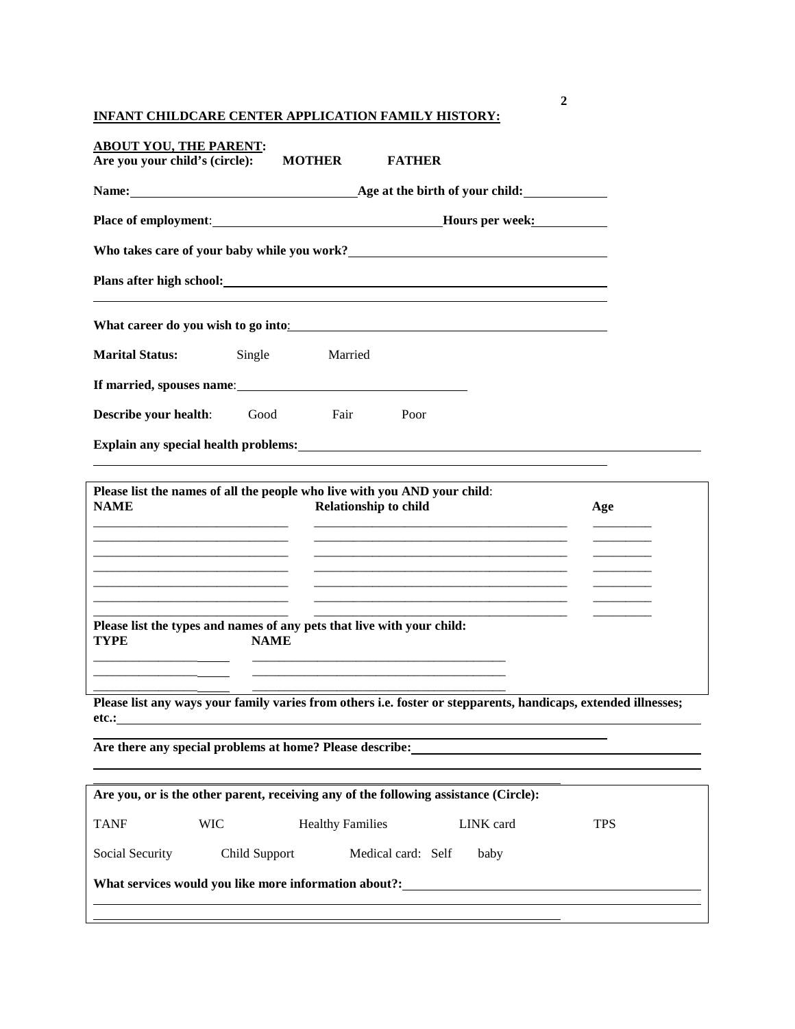**INFANT CHILDCARE CENTER APPLICATION FAMILY HISTORY:**

| <b>ABOUT YOU, THE PARENT:</b><br>Are you your child's (circle):                                                                                                                                                                      | <b>MOTHER</b> |                                                                                                                       | <b>FATHER</b>      |                                                                                                                                                                                    |            |  |
|--------------------------------------------------------------------------------------------------------------------------------------------------------------------------------------------------------------------------------------|---------------|-----------------------------------------------------------------------------------------------------------------------|--------------------|------------------------------------------------------------------------------------------------------------------------------------------------------------------------------------|------------|--|
| Name: <u>Age</u> at the birth of your child:                                                                                                                                                                                         |               |                                                                                                                       |                    |                                                                                                                                                                                    |            |  |
|                                                                                                                                                                                                                                      |               |                                                                                                                       |                    |                                                                                                                                                                                    |            |  |
| Who takes care of your baby while you work?<br><u> </u>                                                                                                                                                                              |               |                                                                                                                       |                    |                                                                                                                                                                                    |            |  |
| Plans after high school: <u>contract the set of the set of the set of the set of the set of the set of the set of the set of the set of the set of the set of the set of the set of the set of the set of the set of the set of </u> |               |                                                                                                                       |                    |                                                                                                                                                                                    |            |  |
| What career do you wish to go into:                                                                                                                                                                                                  |               |                                                                                                                       |                    |                                                                                                                                                                                    |            |  |
| <b>Marital Status:</b>                                                                                                                                                                                                               | Single        | Married                                                                                                               |                    |                                                                                                                                                                                    |            |  |
|                                                                                                                                                                                                                                      |               |                                                                                                                       |                    |                                                                                                                                                                                    |            |  |
| Describe your health:                                                                                                                                                                                                                | Good          | Fair                                                                                                                  | Poor               |                                                                                                                                                                                    |            |  |
| Explain any special health problems: Explain and Security and Security and Security and Security and Security and Security and Security and Security and Security and Security and Security and Security and Security and Secu       |               |                                                                                                                       |                    |                                                                                                                                                                                    |            |  |
| Please list the names of all the people who live with you AND your child:<br><b>NAME</b>                                                                                                                                             |               | <b>Relationship to child</b>                                                                                          |                    |                                                                                                                                                                                    | Age        |  |
| <u> 1980 - Johann Stoff, Amerikaansk politiker (</u>                                                                                                                                                                                 |               |                                                                                                                       |                    | <u> 1980 - Johann Barbara, martxa alemaniar argumento este alemaniar alemaniar alemaniar alemaniar alemaniar al</u><br><u> 1989 - Johann Stoff, Amerikaansk politiker (* 1958)</u> |            |  |
| Please list the types and names of any pets that live with your child:<br><b>TYPE</b>                                                                                                                                                | <b>NAME</b>   | <u> 1989 - Johann Stoff, deutscher Stoff, der Stoff, der Stoff, der Stoff, der Stoff, der Stoff, der Stoff, der S</u> |                    |                                                                                                                                                                                    |            |  |
| Please list any ways your family varies from others i.e. foster or stepparents, handicaps, extended illnesses;<br>etc.:                                                                                                              |               |                                                                                                                       |                    |                                                                                                                                                                                    |            |  |
| Are there any special problems at home? Please describe:                                                                                                                                                                             |               |                                                                                                                       |                    |                                                                                                                                                                                    |            |  |
| Are you, or is the other parent, receiving any of the following assistance (Circle):                                                                                                                                                 |               |                                                                                                                       |                    |                                                                                                                                                                                    |            |  |
| <b>TANF</b><br><b>WIC</b>                                                                                                                                                                                                            |               | <b>Healthy Families</b>                                                                                               |                    | LINK card                                                                                                                                                                          | <b>TPS</b> |  |
| Social Security                                                                                                                                                                                                                      | Child Support |                                                                                                                       | Medical card: Self | baby                                                                                                                                                                               |            |  |
| What services would you like more information about?:___________________________                                                                                                                                                     |               |                                                                                                                       |                    |                                                                                                                                                                                    |            |  |
|                                                                                                                                                                                                                                      |               |                                                                                                                       |                    |                                                                                                                                                                                    |            |  |

**2**